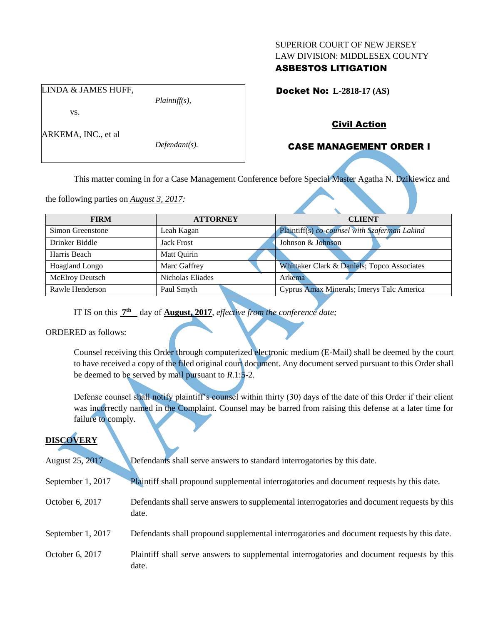#### SUPERIOR COURT OF NEW JERSEY LAW DIVISION: MIDDLESEX COUNTY

## ASBESTOS LITIGATION

Docket No: **L-2818-17 (AS)** 

vs.

ARKEMA, INC., et al

LINDA & JAMES HUFF,

*Defendant(s).*

*Plaintiff(s),*

## Civil Action

# CASE MANAGEMENT ORDER I

This matter coming in for a Case Management Conference before Special Master Agatha N. Dzikiewicz and

the following parties on *August 3, 2017:*

| <b>FIRM</b>            | <b>ATTORNEY</b>   | <b>CLIENT</b>                                 |
|------------------------|-------------------|-----------------------------------------------|
| Simon Greenstone       | Leah Kagan        | Plaintiff(s) co-counsel with Szaferman Lakind |
| Drinker Biddle         | <b>Jack Frost</b> | Johnson & Johnson                             |
| Harris Beach           | Matt Quirin       |                                               |
| Hoagland Longo         | Marc Gaffrey      | Whittaker Clark & Daniels; Topco Associates   |
| <b>McElroy Deutsch</b> | Nicholas Eliades  | Arkema                                        |
| Rawle Henderson        | Paul Smyth        | Cyprus Amax Minerals; Imerys Talc America     |

IT IS on this  $7<sup>th</sup>$  day of **August, 2017**, *effective from the conference date*;

ORDERED as follows:

Counsel receiving this Order through computerized electronic medium (E-Mail) shall be deemed by the court to have received a copy of the filed original court document. Any document served pursuant to this Order shall be deemed to be served by mail pursuant to *R*.1:5-2.

Defense counsel shall notify plaintiff's counsel within thirty (30) days of the date of this Order if their client was incorrectly named in the Complaint. Counsel may be barred from raising this defense at a later time for failure to comply.

# **DISCOVERY**

August 25, 2017 Defendants shall serve answers to standard interrogatories by this date. September 1, 2017 Plaintiff shall propound supplemental interrogatories and document requests by this date. October 6, 2017 Defendants shall serve answers to supplemental interrogatories and document requests by this date. September 1, 2017 Defendants shall propound supplemental interrogatories and document requests by this date. October 6, 2017 Plaintiff shall serve answers to supplemental interrogatories and document requests by this date.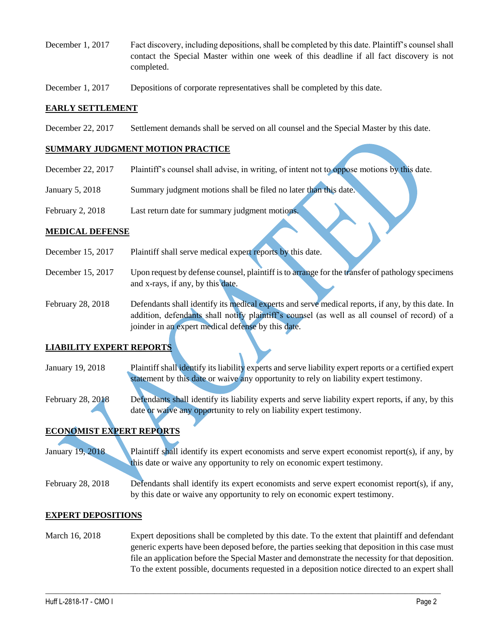- December 1, 2017 Fact discovery, including depositions, shall be completed by this date. Plaintiff's counsel shall contact the Special Master within one week of this deadline if all fact discovery is not completed.
- December 1, 2017 Depositions of corporate representatives shall be completed by this date.

#### **EARLY SETTLEMENT**

December 22, 2017 Settlement demands shall be served on all counsel and the Special Master by this date.

### **SUMMARY JUDGMENT MOTION PRACTICE**

- December 22, 2017 Plaintiff's counsel shall advise, in writing, of intent not to oppose motions by this date.
- January 5, 2018 Summary judgment motions shall be filed no later than this date.
- February 2, 2018 Last return date for summary judgment motions.

#### **MEDICAL DEFENSE**

- December 15, 2017 Plaintiff shall serve medical expert reports by this date.
- December 15, 2017 Upon request by defense counsel, plaintiff is to arrange for the transfer of pathology specimens and x-rays, if any, by this date.
- February 28, 2018 Defendants shall identify its medical experts and serve medical reports, if any, by this date. In addition, defendants shall notify plaintiff's counsel (as well as all counsel of record) of a joinder in an expert medical defense by this date.

### **LIABILITY EXPERT REPORTS**

- January 19, 2018 Plaintiff shall identify its liability experts and serve liability expert reports or a certified expert statement by this date or waive any opportunity to rely on liability expert testimony.
- February 28, 2018 Defendants shall identify its liability experts and serve liability expert reports, if any, by this date or waive any opportunity to rely on liability expert testimony.

## **ECONOMIST EXPERT REPORTS**

January 19, 2018 Plaintiff shall identify its expert economists and serve expert economist report(s), if any, by this date or waive any opportunity to rely on economic expert testimony.

February 28, 2018 Defendants shall identify its expert economists and serve expert economist report(s), if any, by this date or waive any opportunity to rely on economic expert testimony.

### **EXPERT DEPOSITIONS**

March 16, 2018 Expert depositions shall be completed by this date. To the extent that plaintiff and defendant generic experts have been deposed before, the parties seeking that deposition in this case must file an application before the Special Master and demonstrate the necessity for that deposition. To the extent possible, documents requested in a deposition notice directed to an expert shall

 $\_$  ,  $\_$  ,  $\_$  ,  $\_$  ,  $\_$  ,  $\_$  ,  $\_$  ,  $\_$  ,  $\_$  ,  $\_$  ,  $\_$  ,  $\_$  ,  $\_$  ,  $\_$  ,  $\_$  ,  $\_$  ,  $\_$  ,  $\_$  ,  $\_$  ,  $\_$  ,  $\_$  ,  $\_$  ,  $\_$  ,  $\_$  ,  $\_$  ,  $\_$  ,  $\_$  ,  $\_$  ,  $\_$  ,  $\_$  ,  $\_$  ,  $\_$  ,  $\_$  ,  $\_$  ,  $\_$  ,  $\_$  ,  $\_$  ,